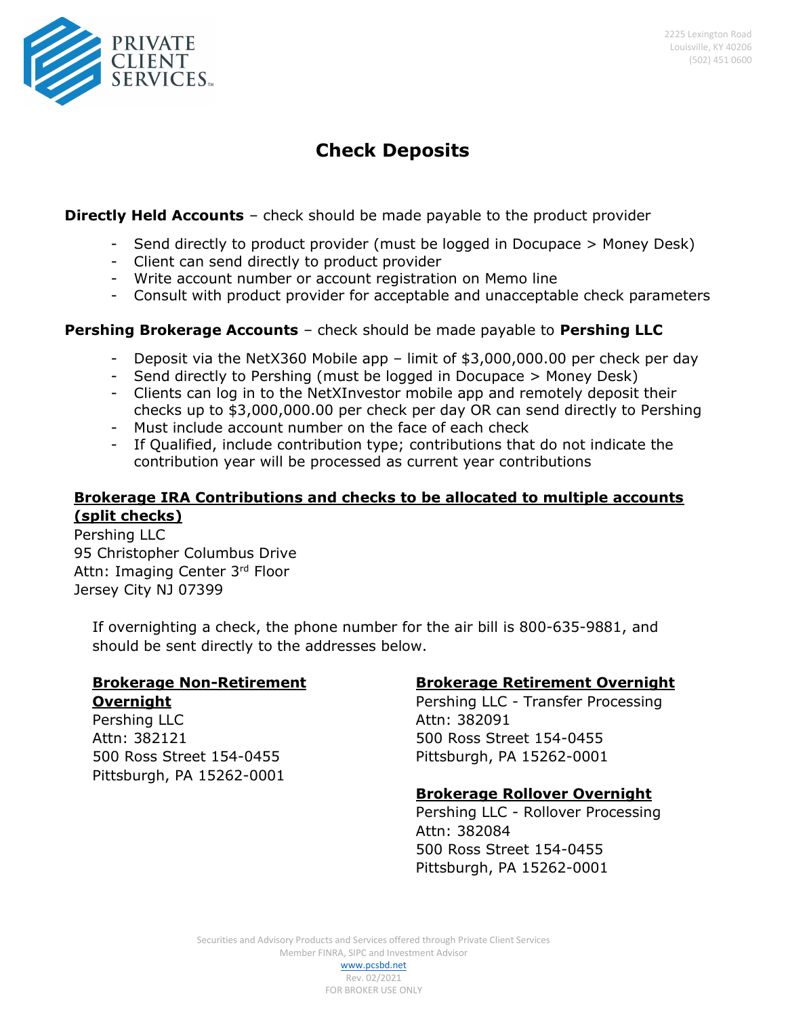

# Check Deposits

### **Directly Held Accounts** – check should be made payable to the product provider

- Send directly to product provider (must be logged in Docupace > Money Desk)
- Client can send directly to product provider
- Write account number or account registration on Memo line
- Consult with product provider for acceptable and unacceptable check parameters

#### Pershing Brokerage Accounts - check should be made payable to Pershing LLC

- Deposit via the NetX360 Mobile app limit of \$3,000,000.00 per check per day
- Send directly to Pershing (must be logged in Docupace > Money Desk)
- Clients can log in to the NetXInvestor mobile app and remotely deposit their checks up to \$3,000,000.00 per check per day OR can send directly to Pershing
- Must include account number on the face of each check
- If Qualified, include contribution type; contributions that do not indicate the contribution year will be processed as current year contributions

## Brokerage IRA Contributions and checks to be allocated to multiple accounts (split checks)

Pershing LLC 95 Christopher Columbus Drive Attn: Imaging Center 3rd Floor Jersey City NJ 07399

If overnighting a check, the phone number for the air bill is 800-635-9881, and should be sent directly to the addresses below.

## Brokerage Non-Retirement **Overnight**

Pershing LLC Attn: 382121 500 Ross Street 154-0455 Pittsburgh, PA 15262-0001

#### Brokerage Retirement Overnight

Pershing LLC - Transfer Processing Attn: 382091 500 Ross Street 154-0455 Pittsburgh, PA 15262-0001

#### Brokerage Rollover Overnight

Pershing LLC - Rollover Processing Attn: 382084 500 Ross Street 154-0455 Pittsburgh, PA 15262-0001

Securities and Advisory Products and Services offered through Private Client Services Member FINRA, SIPC and Investment Advisor

> www.pcsbd.net Rev. 02/2021 FOR BROKER USE ONLY